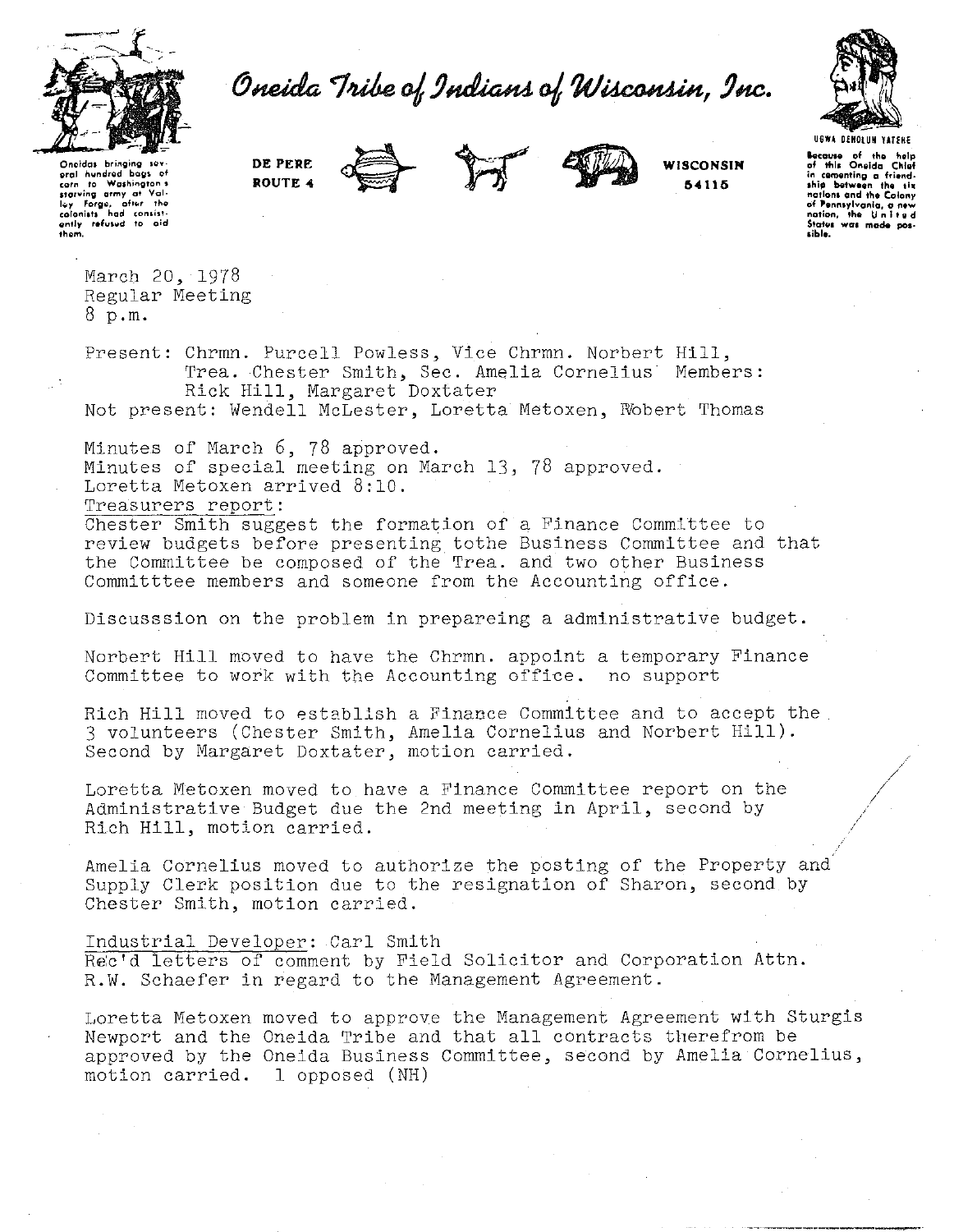

Oneida Tribe of Indians of Wisconsin, Inc.



.<br>Oneidas bringing sov<br>oral hundred baas o **Qrol n ... ndn:.d bog• of corn to Washington 1**  starving army at Val-<br>lwy Forge, after the<br>**colonists had consist-**<br>ently refused to aid<br>them. **DE PERE ROUTE 4** 





**WISCONSIN 54116** 

**hecause of the help**<br>of **this Onoida Chief thip botween tho ti• nctlont and the Colony of '•nntylvonla, a ntw nation, tho U n 1 t v d** State~• **wat made pos. tible.** 

March 20, 1978 Regular Meeting 8 p.m.

Present: Chrmn. Purcell Powless, Vice Chrmn. Norbert Hill, Trea. Chester Smith, Sec. Amelia Cornelius Members: Rick Hill, Margaret Doxtater Not present: Wendell McLester, Loretta Metoxen, Wobert Thomas

Minutes of March 6, 78 approved. Minutes of special meeting on March 13, 78 approved. Loretta Metoxen arrived 8:10. Treasurers report:

Chester Smith suggest the formation of a Finance Committee to review budgets before presenting tothe Business Committee and that the Committee be composed of the Trea. and two other Business Committtee members and someone from the Accounting office.

Discusssion on the problem in prepareing a administrative budget.

Norbert Hill moved to have the Chrmn. appoint a temporary Finance Committee to work with the Accounting office. no support

Rich Hill moved to establish a Finance Committee and to accept the 3 volunteers (Chester Smith, Amelia Cornelius and Norbert Hill). Second by Margaret Doxtater, motion carried.

Loretta Metoxen moved to have a Finance Committee report on the Administrative Budget due the 2nd meeting in April, second by Rich Hill, motion carried.

Amelia Cornelius moved to authorize the posting of the Property and Supply Clerk position due to the resignation of Sharon, second by Chester Smith, motion carried.

Industrial Developer: Carl Smith Rec'd letters of comment by Field Solicitor and Corporation Attn. R.W. Schaefer in regard to the Management Agreement.

Loretta Metoxen moved to approve the Management Agreement with Sturgis Newport and the Oneida Tribe and that all contracts therefrom be approved by the Oneida Business Committee, second by Amelia Cornelius, motion carried. l opposed (NH)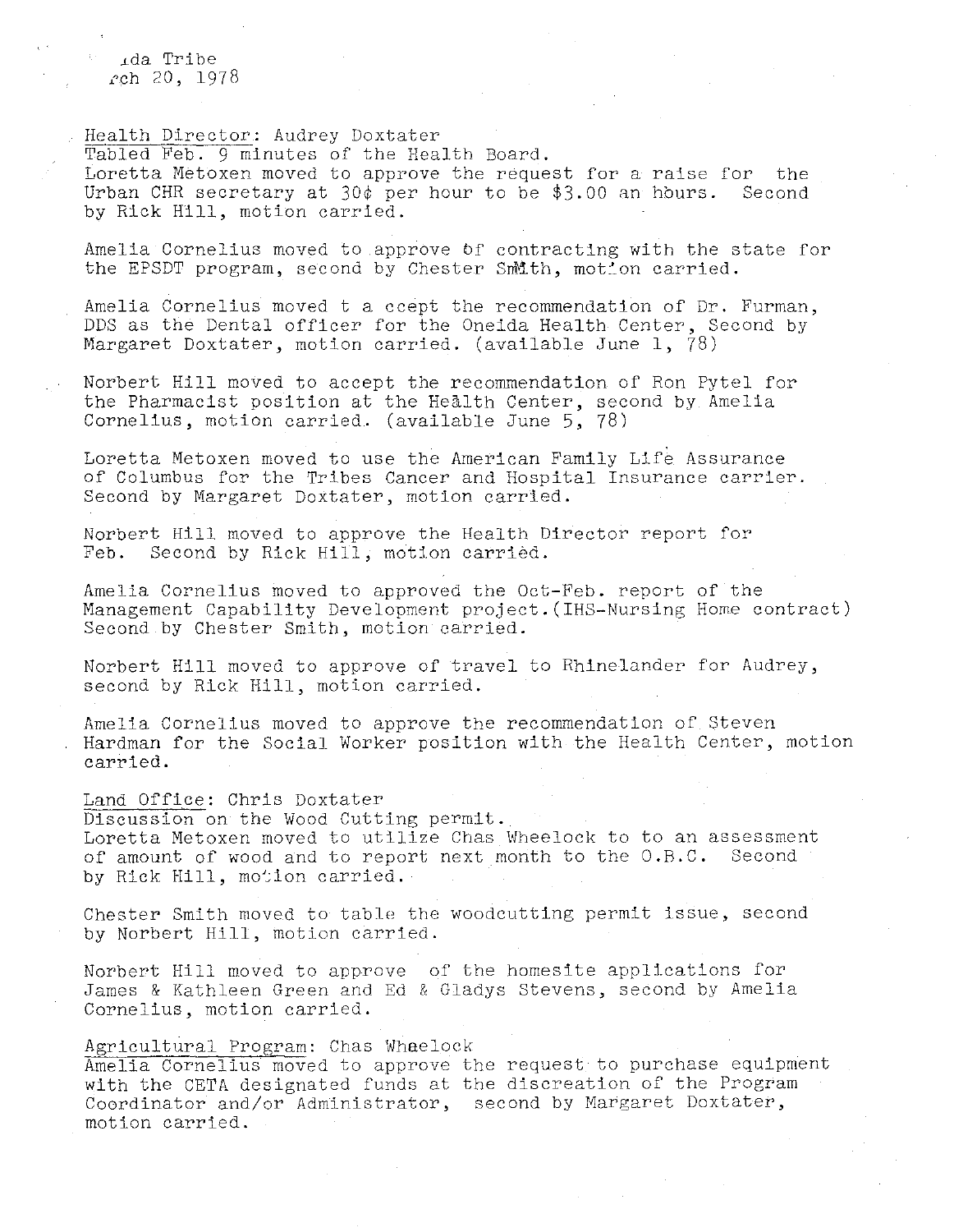.cda Tribe  $rch 20, 1978$ 

Health Director: Audrey Doxtater Tabled Feb. 9 minutes of the Health Board. Loretta Metoxen moved to approve the request for a raise for the Urban CHR secretary at 30¢ per hour to be \$3.00 an hours. Second by Rick Hill, motion carried.

Amelia Cornelius moved to approve *bf* contracting with the state for the EPSDT program, second by Chester Smith, motion carried.

Amelia Cornelius moved t a ccept the recommendation of Dr. Furman, DDS as the Dental officer for the Oneida Health Center, Second by Margaret Doxtater, motion carried. (available June 1, 78)

Norbert Hill moved to accept the recommendation of Ron Pytel for the Pharmacist position at the Health Center, second by Amelia Cornelius, motion carried. (available June 5, 78)

Loretta Metoxen moved to use the American Family Life Assurance of Columbus for the Tribes Cancer and Hospital Insurance carrier. Second by Margaret Doxtater, motion carried.

Norbert Hill moved to approve the Health Director report for Feb. Second by Rick Hill, motion carried.

Amelia Cornelius moved to approved the Oct-Feb. report of the Management Capability Development project.(IHS-Nursing Home contract) Second by Chester Smith, motion carried.

Norbert Hill moved to approve of travel to Rhinelander for Audrey, second by Rick Hill, motion carried.

Amelia Cornelius moved to approve the recommendation of Steven Hardman for the Social Worker position with the Health Center, motion carried.

## Land Office: Chris Doxtater

Discussion on the Wood Cutting permit. Loretta Metoxen moved to utilize Chas Wheelock to to an assessment of amount of wood and to report next month to the O.B.C. Second by Rick Hill, motion carried.

Chester Smith moved to table the woodcutting permit issue, second by Norbert Hill, motion carried.

Norbert Hill moved to approve of the homesite applications for James & Kathleen Green and Ed & Gladys Stevens, second by Amelia Cornelius, motion carried.

# Agricultural Program: Chas Whaelock

Amelia Cornelius moved to approve the request to purchase equipment with the CETA designated funds at the discreation of the Program Coordinator and/or Administrator, second by Margaret Doxtater, motion carried.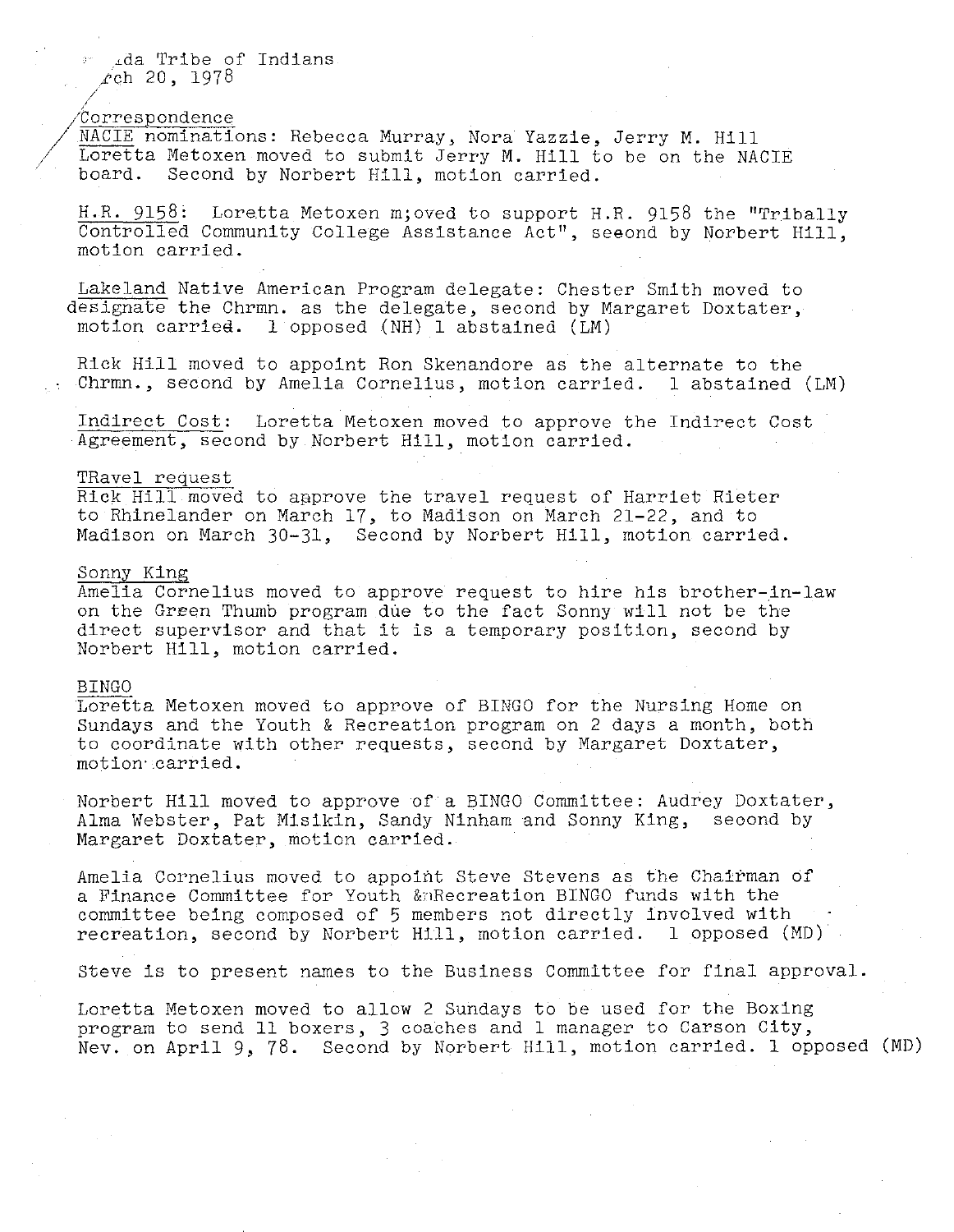Lda Tribe of Indians  $rch$  20, 1978

## 'Correspondence

//'

/

NACIE nominations: Rebecca Murray, Nora Yazzie, Jerry M. Hill Loretta Metoxen moved to submit Jerry M. Hill to be on the NACIE board. Second by Norbert Hill, motion carried. Second by Norbert Hill, motion carried.

H.R. 9158: Loretta Metoxen m; oved to support H.R. 9158 the "Tribally Controlled Community College Assistance Act", seeond by Norbert Hill, motion carried.

Lakeland Native American Program delegate: Chester Smith moved to designate the Chrmn. as the delegate, second by Margaret Doxtater, motion carried. 1 opposed (NH) 1 abstained (LM) 1 opposed (NH) 1 abstained (LM)

Rick Hill moved to appoint Ron Skenandore as the alternate to the<br>Chrmn., second by Amelia Cornelius, motion carried. I abstained (LM) Chrmn., second by Amelia Cornelius, motion carried.

Indirect Cost: Loretta Metoxen moved to approve the Indirect Cost Agreement, second by Norbert Hill, motion carried.

#### TRavel request

Rick Hill moved to approve the travel request of Harriet Rieter to Rhinelander on March 17, to Madison on March 21-22, and to Madison on March 30-31, Second by Norbert Hill, motion carried.

## Sonny King

Amelia Cornelius moved to approve request to hire his brother-ln-law on the GrEen Thumb program due to the fact Sonny will not be the direct supervisor and that it is a temporary position, second by Norbert Hill, motion carried.

#### BINGO

Loretta Metoxen moved to approve of BINGO for the Nursing Home on Sundays and the Youth & Recreation program on 2 days a month, both to coordinate with other requests, second by Margaret Doxtater, motion· .carried.

Norbert Hill moved to approve of a BINGO Committee: Audrey Doxtater, Alma Webster, Pat Misikin, Sandy Ninham and Sonny King, seoond by Margaret Doxtater, motion carried.

Amelia Cornelius moved to appoint Steve Stevens as the Chairman of a Finance Committee for Youth &:nRecreation BINGO funds with the committee being composed of 5 members not directly involved with recreation, second by Norbert Hill, motion carried. l opposed (MD)

Steve is to present names to the Business Committee for final approval.

Loretta Metoxen moved to allow 2 Sundays to be used for the Boxing program to send ll boxers, 3 coaches and l manager to Carson City, Nev. on April 9, 78. Second by Norbert Hill, motion carried. l opposed (MD)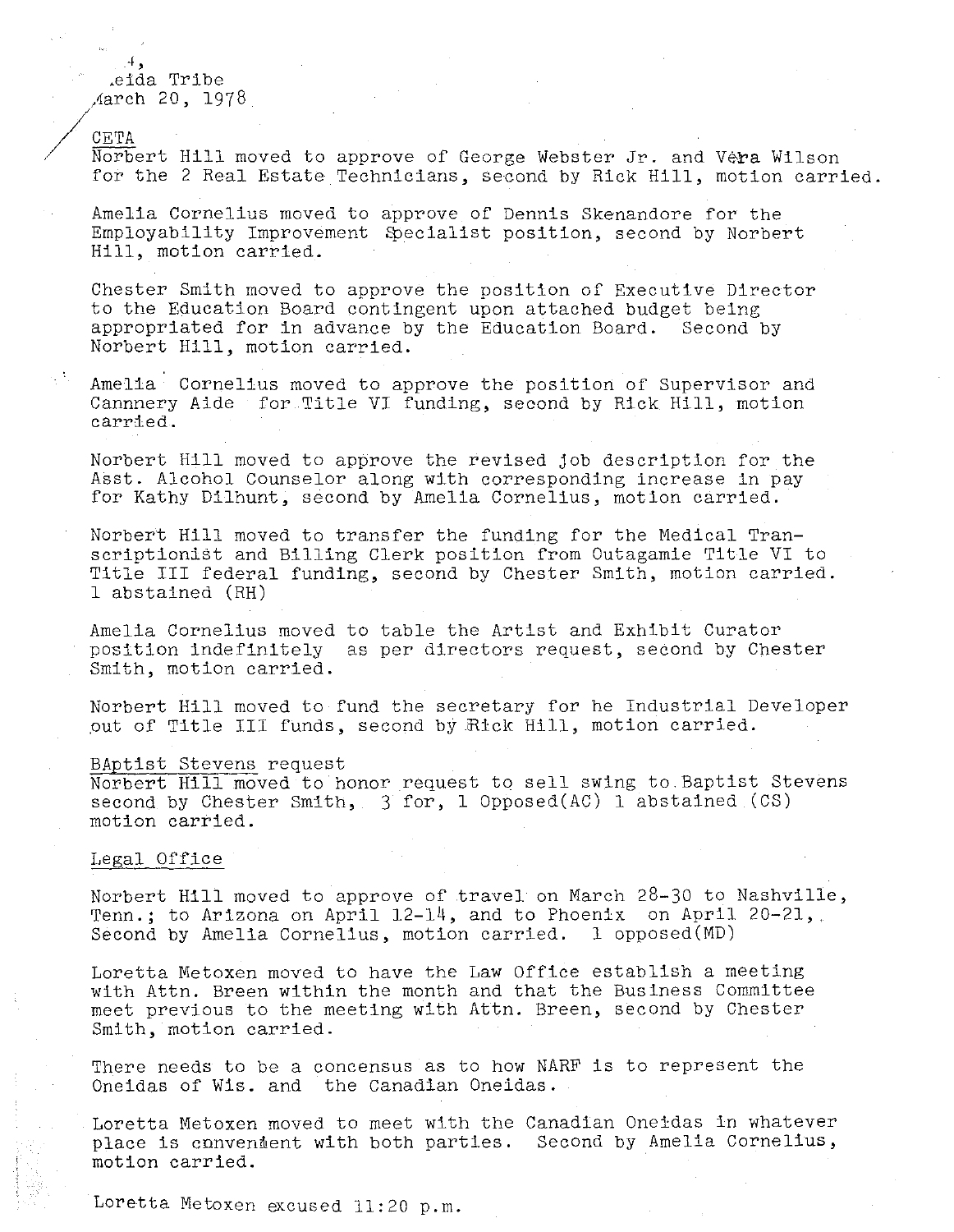$\overline{A}$  , .eida Tribe ,'iarch 20, 1978

/cETA Norbert Hill moved to approve of George Webster Jr. and Vera Wilson for the 2 Real Estate Technicians, second by Rick Hill, motion carried.

Amelia Cornelius moved to approve of Dennis Skenandore for the Employability Improvement Specialist position, second by Norbert Hill, motion carried.

Chester Smith moved to approve the position of Executive Director to the Education Board contingent upon attached budget being appropriated for in advance by the Education Board. Second by Norbert Hill, motion carried.

Amelia Cornelius moved to approve the position of Supervisor and Cannnery Aide for Title VI funding, second by Rick Hill, motion carried.

Norbert Hill moved to approve the revised job description for the Asst. Alcohol Counselor along with corresponding increase in pay for Kathy Dilhunt, second by Amelia Cornelius, motion carried.

Norbert Hill moved to transfer the funding for the Medical Transcriptionist and Billing Clerk position from Outagamie Title VI to Title III federal funding, second by Chester Smith, motion carried. l abstained (RH)

Amelia Cornelius moved to table the Artist and Exhibit Curator position indefinitely as per directors request, second by Chester Smith, motion carried.

Norbert Hill moved to fund the secretary for he Industrial Developer out of Title III funds, second by Rick Hill, motion carried.

## BAptist Stevens request

Norbert Hill moved to honor request to sell swing to.Baptist Stevens second by Chester Smith,  $3$  for, 1 Opposed(AC) 1 abstained (CS) motion carried.

## Legal Office

Norbert Hill moved to approve of travel on March 28-30 to Nashville, Tenn.; to Arizona on April 12-14, and to Phoenix on April 20-21,. Second by Amelia Cornelius, motion carried. l opposed(MD)

Loretta Metoxen moved to have the Law Office establish a meeting with Attn. Breen within the month and that the Business Committee meet previous to the meeting with Attn. Breen, second by Chester Smith, motion carried.

There needs to be a concensus as to how NARF is to represent the Oneidas of Wis. and the Canadian Oneidas.

Loretta Metoxen moved to meet with the Canadian Oneidas in whatever place is convendent with both parties. Second by Amelia Cornelius, motion carried.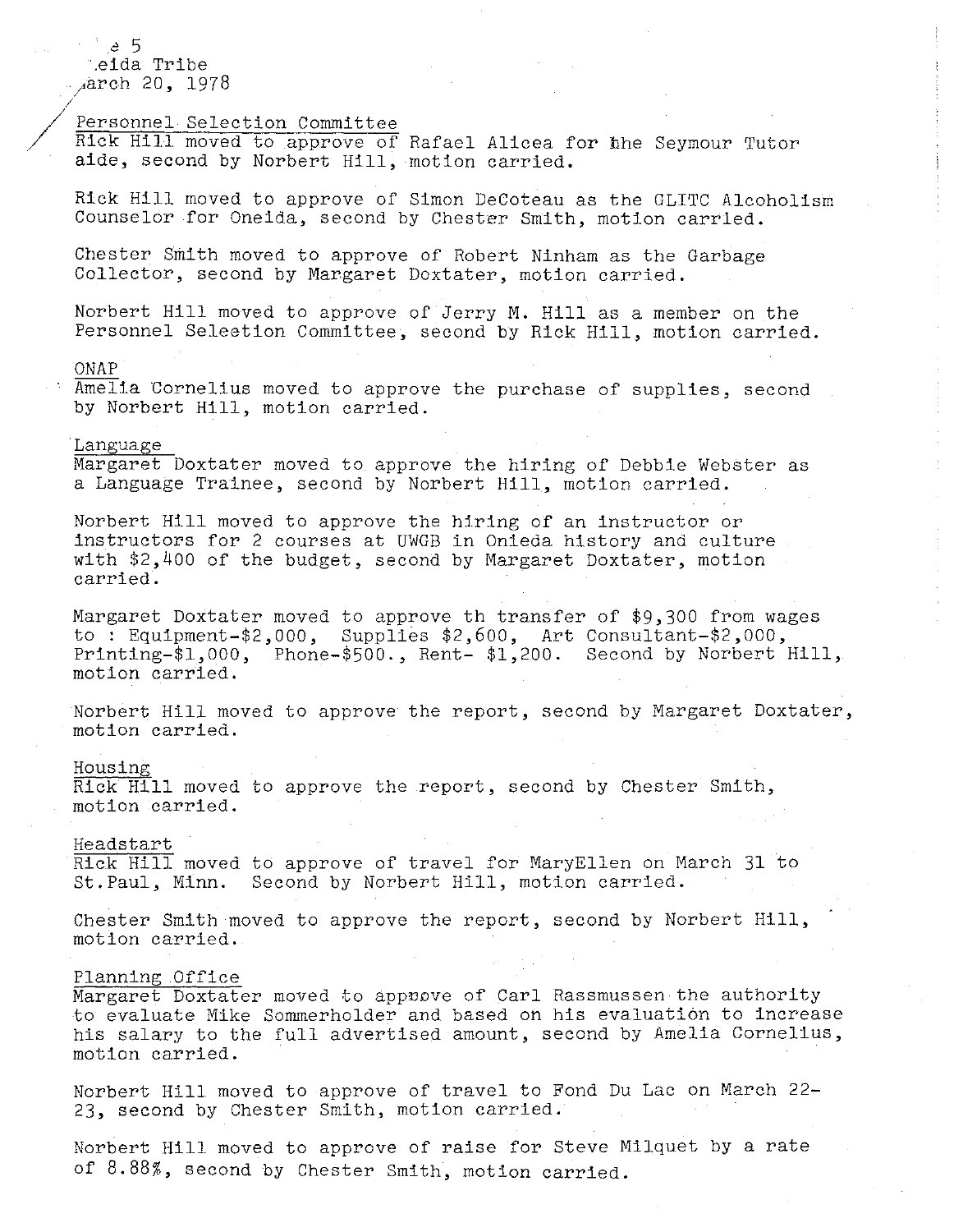.e 5 .eida Tribe !"arch 20, 1978

## Personnel Selection Committee

Rick Hill moved to approve of Rafael Alicea for the Seymour Tutor aide, second by Norbert Hill, motion carried.

Rick Hill moved to approve of Simon DeCoteau as the GLITC Alcoholism Counselor for Oneida, second by Chester Smith, motion carried.

Chester Smith moved to approve of Robert Ninham as the Garbage Collector, second by Margaret Doxtater, motion carried.

Norbert Hill moved to approve of Jerry M. Hill as a member on the Personnel Seleetion Committee, second by Rick Hill, motion carried.

#### ONAP

/

/

Amelia Cornelius moved to approve the purchase of supplies, second by Norbert Hill, motion carried.

### Language

Margaret Doxtater moved to approve the hiring of Debbie Webster as a Language Trainee, second by Norbert Hill, motion carried.

Norbert Hill moved to approve the hiring of an instructor or instructors for 2 courses at UWGB in Onieda history and culture with \$2,400 of the budget, second by Margaret Doxtater, motion carried.

Margaret Doxtater moved to approve th transfer of \$9,300 from wages to : Equipment-\$2,000, Supplies \$2,600, Art Consultant-\$2,000, Printing-\$1,000, Phone-\$500., Rent- \$1,200. Second by Norbert Hill, motion carried.

Norbert Hill moved to approve the report, second by Margaret Doxtater, motion carried.

#### Housing

 $\overline{\text{Rick}}$  Hill moved to approve the report, second by Chester Smith, motion carried.

# Heads tart

Rick Hill moved to approve of travel for MaryEllen on March 31 to St.Paul, Minn. Second by Norbert Hill, motion carried.

Chester Smith moved to approve the report, second by Norbert Hill, motion carried.

# Planning Office

Margaret Doxtater moved to appnove of Carl Rassmussen the authority to evaluate Mike Sommerholder and based on his evaluation to increase his salary to the full advertised amount, second by Amelia Cornelius, motion carried.

Norbert Hill moved to approve of travel to Fond Du Lac on March 22- 23, second by Chester Smith, motion carried.

Norbert Hill moved to approve of raise for Steve Milquet by a rate of 8.88%, second by Chester Smith, motion carried.